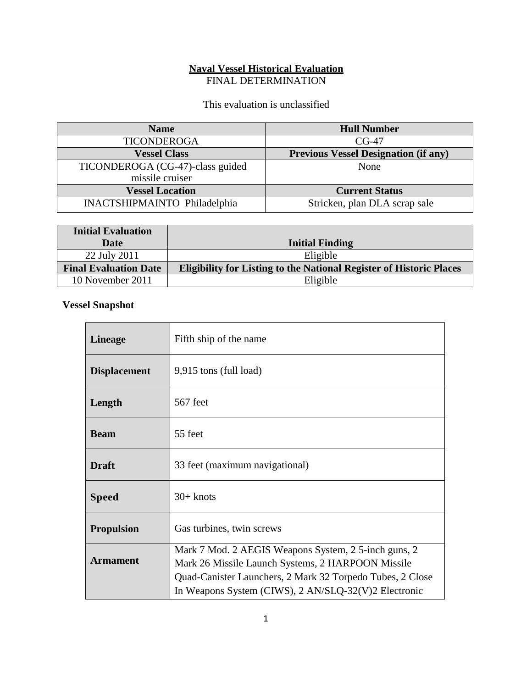#### **Naval Vessel Historical Evaluation** FINAL DETERMINATION

This evaluation is unclassified

| <b>Name</b>                         | <b>Hull Number</b>                          |
|-------------------------------------|---------------------------------------------|
| <b>TICONDEROGA</b>                  | $CG-47$                                     |
| <b>Vessel Class</b>                 | <b>Previous Vessel Designation (if any)</b> |
| TICONDEROGA (CG-47)-class guided    | None                                        |
| missile cruiser                     |                                             |
| <b>Vessel Location</b>              | <b>Current Status</b>                       |
| <b>INACTSHIPMAINTO Philadelphia</b> | Stricken, plan DLA scrap sale               |

| <b>Initial Evaluation</b>    |                                                                            |
|------------------------------|----------------------------------------------------------------------------|
| Date                         | <b>Initial Finding</b>                                                     |
| 22 July 2011                 | Eligible                                                                   |
| <b>Final Evaluation Date</b> | <b>Eligibility for Listing to the National Register of Historic Places</b> |
| 10 November 2011             | Eligible                                                                   |

# **Vessel Snapshot**

| <b>Lineage</b>      | Fifth ship of the name                                                                                                                                                                                                         |
|---------------------|--------------------------------------------------------------------------------------------------------------------------------------------------------------------------------------------------------------------------------|
| <b>Displacement</b> | 9,915 tons (full load)                                                                                                                                                                                                         |
| Length              | 567 feet                                                                                                                                                                                                                       |
| <b>Beam</b>         | 55 feet                                                                                                                                                                                                                        |
| <b>Draft</b>        | 33 feet (maximum navigational)                                                                                                                                                                                                 |
| <b>Speed</b>        | $30+$ knots                                                                                                                                                                                                                    |
| <b>Propulsion</b>   | Gas turbines, twin screws                                                                                                                                                                                                      |
| <b>Armament</b>     | Mark 7 Mod. 2 AEGIS Weapons System, 2 5-inch guns, 2<br>Mark 26 Missile Launch Systems, 2 HARPOON Missile<br>Quad-Canister Launchers, 2 Mark 32 Torpedo Tubes, 2 Close<br>In Weapons System (CIWS), 2 AN/SLQ-32(V)2 Electronic |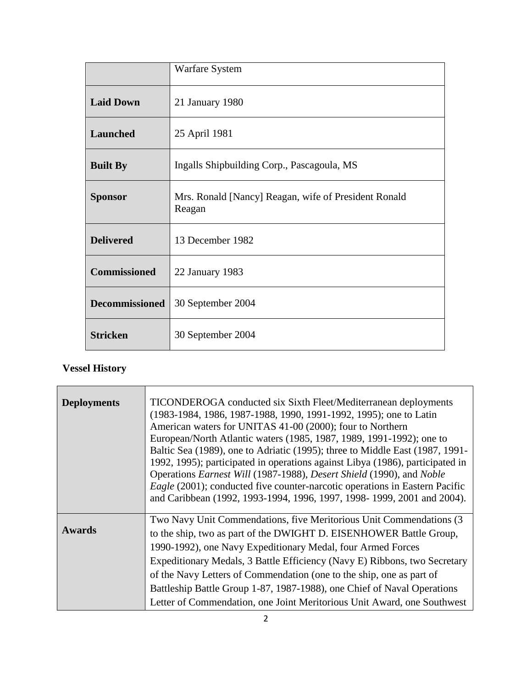|                       | <b>Warfare System</b>                                          |
|-----------------------|----------------------------------------------------------------|
| <b>Laid Down</b>      | 21 January 1980                                                |
| Launched              | 25 April 1981                                                  |
| <b>Built By</b>       | Ingalls Shipbuilding Corp., Pascagoula, MS                     |
| <b>Sponsor</b>        | Mrs. Ronald [Nancy] Reagan, wife of President Ronald<br>Reagan |
| <b>Delivered</b>      | 13 December 1982                                               |
| <b>Commissioned</b>   | 22 January 1983                                                |
| <b>Decommissioned</b> | 30 September 2004                                              |
| <b>Stricken</b>       | 30 September 2004                                              |

# **Vessel History**

Ē.

| <b>Deployments</b> | TICONDEROGA conducted six Sixth Fleet/Mediterranean deployments<br>(1983-1984, 1986, 1987-1988, 1990, 1991-1992, 1995); one to Latin<br>American waters for UNITAS 41-00 (2000); four to Northern<br>European/North Atlantic waters (1985, 1987, 1989, 1991-1992); one to<br>Baltic Sea (1989), one to Adriatic (1995); three to Middle East (1987, 1991-<br>1992, 1995); participated in operations against Libya (1986), participated in<br>Operations Earnest Will (1987-1988), Desert Shield (1990), and Noble<br><i>Eagle</i> (2001); conducted five counter-narcotic operations in Eastern Pacific<br>and Caribbean (1992, 1993-1994, 1996, 1997, 1998-1999, 2001 and 2004). |
|--------------------|------------------------------------------------------------------------------------------------------------------------------------------------------------------------------------------------------------------------------------------------------------------------------------------------------------------------------------------------------------------------------------------------------------------------------------------------------------------------------------------------------------------------------------------------------------------------------------------------------------------------------------------------------------------------------------|
| <b>Awards</b>      | Two Navy Unit Commendations, five Meritorious Unit Commendations (3<br>to the ship, two as part of the DWIGHT D. EISENHOWER Battle Group,<br>1990-1992), one Navy Expeditionary Medal, four Armed Forces<br>Expeditionary Medals, 3 Battle Efficiency (Navy E) Ribbons, two Secretary<br>of the Navy Letters of Commendation (one to the ship, one as part of<br>Battleship Battle Group 1-87, 1987-1988), one Chief of Naval Operations<br>Letter of Commendation, one Joint Meritorious Unit Award, one Southwest                                                                                                                                                                |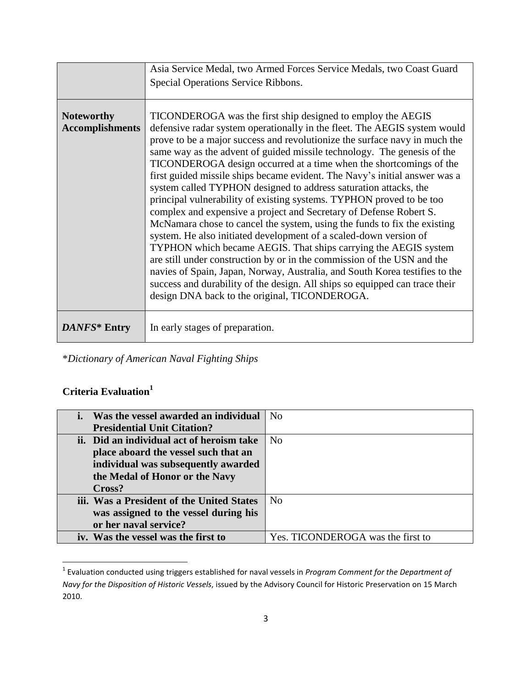|                                             | Asia Service Medal, two Armed Forces Service Medals, two Coast Guard<br>Special Operations Service Ribbons.                                                                                                                                                                                                                                                                                                                                                                                                                                                                                                                                                                                                                                                                                                                                                                                                                                                                                                                                                                                                                                                                           |
|---------------------------------------------|---------------------------------------------------------------------------------------------------------------------------------------------------------------------------------------------------------------------------------------------------------------------------------------------------------------------------------------------------------------------------------------------------------------------------------------------------------------------------------------------------------------------------------------------------------------------------------------------------------------------------------------------------------------------------------------------------------------------------------------------------------------------------------------------------------------------------------------------------------------------------------------------------------------------------------------------------------------------------------------------------------------------------------------------------------------------------------------------------------------------------------------------------------------------------------------|
| <b>Noteworthy</b><br><b>Accomplishments</b> | TICONDEROGA was the first ship designed to employ the AEGIS<br>defensive radar system operationally in the fleet. The AEGIS system would<br>prove to be a major success and revolutionize the surface navy in much the<br>same way as the advent of guided missile technology. The genesis of the<br>TICONDEROGA design occurred at a time when the shortcomings of the<br>first guided missile ships became evident. The Navy's initial answer was a<br>system called TYPHON designed to address saturation attacks, the<br>principal vulnerability of existing systems. TYPHON proved to be too<br>complex and expensive a project and Secretary of Defense Robert S.<br>McNamara chose to cancel the system, using the funds to fix the existing<br>system. He also initiated development of a scaled-down version of<br>TYPHON which became AEGIS. That ships carrying the AEGIS system<br>are still under construction by or in the commission of the USN and the<br>navies of Spain, Japan, Norway, Australia, and South Korea testifies to the<br>success and durability of the design. All ships so equipped can trace their<br>design DNA back to the original, TICONDEROGA. |
| DANFS* Entry                                | In early stages of preparation.                                                                                                                                                                                                                                                                                                                                                                                                                                                                                                                                                                                                                                                                                                                                                                                                                                                                                                                                                                                                                                                                                                                                                       |

\**Dictionary of American Naval Fighting Ships*

### **Criteria Evaluation 1**

| Was the vessel awarded an individual      | N <sub>0</sub>                    |
|-------------------------------------------|-----------------------------------|
| <b>Presidential Unit Citation?</b>        |                                   |
| ii. Did an individual act of heroism take | N <sub>0</sub>                    |
| place aboard the vessel such that an      |                                   |
| individual was subsequently awarded       |                                   |
| the Medal of Honor or the Navy            |                                   |
| Cross?                                    |                                   |
| iii. Was a President of the United States | N <sub>0</sub>                    |
| was assigned to the vessel during his     |                                   |
| or her naval service?                     |                                   |
| iv. Was the vessel was the first to       | Yes. TICONDEROGA was the first to |

<sup>1</sup> Evaluation conducted using triggers established for naval vessels in *Program Comment for the Department of Navy for the Disposition of Historic Vessels*, issued by the Advisory Council for Historic Preservation on 15 March 2010.